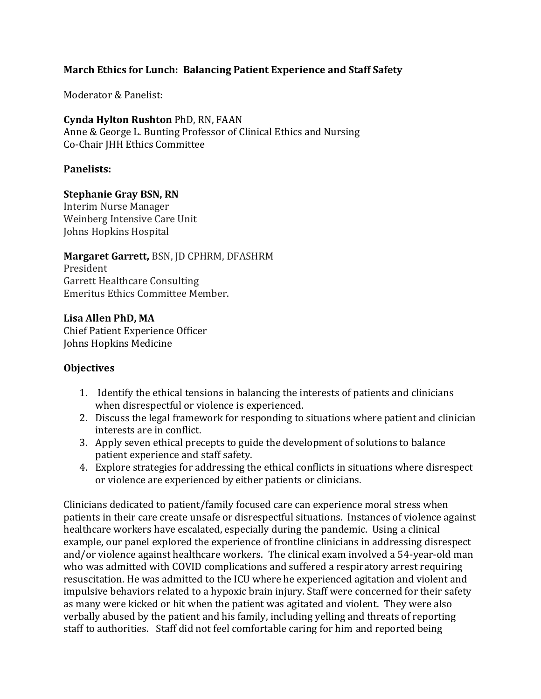## **March Ethics for Lunch: Balancing Patient Experience and Staff Safety**

Moderator & Panelist:

#### **Cynda Hylton Rushton** PhD, RN, FAAN

Anne & George L. Bunting Professor of Clinical Ethics and Nursing Co-Chair JHH Ethics Committee

### **Panelists:**

#### **Stephanie Gray BSN, RN**

Interim Nurse Manager Weinberg Intensive Care Unit Johns Hopkins Hospital

#### **Margaret Garrett,** BSN, JD CPHRM, DFASHRM

President Garrett Healthcare Consulting Emeritus Ethics Committee Member.

**Lisa Allen PhD, MA** Chief Patient Experience Officer Johns Hopkins Medicine

#### **Objectives**

- 1. Identify the ethical tensions in balancing the interests of patients and clinicians when disrespectful or violence is experienced.
- 2. Discuss the legal framework for responding to situations where patient and clinician interests are in conflict.
- 3. Apply seven ethical precepts to guide the development of solutions to balance patient experience and staff safety.
- 4. Explore strategies for addressing the ethical conflicts in situations where disrespect or violence are experienced by either patients or clinicians.

Clinicians dedicated to patient/family focused care can experience moral stress when patients in their care create unsafe or disrespectful situations. Instances of violence against healthcare workers have escalated, especially during the pandemic. Using a clinical example, our panel explored the experience of frontline clinicians in addressing disrespect and/or violence against healthcare workers. The clinical exam involved a 54-year-old man who was admitted with COVID complications and suffered a respiratory arrest requiring resuscitation. He was admitted to the ICU where he experienced agitation and violent and impulsive behaviors related to a hypoxic brain injury. Staff were concerned for their safety as many were kicked or hit when the patient was agitated and violent. They were also verbally abused by the patient and his family, including yelling and threats of reporting staff to authorities. Staff did not feel comfortable caring for him and reported being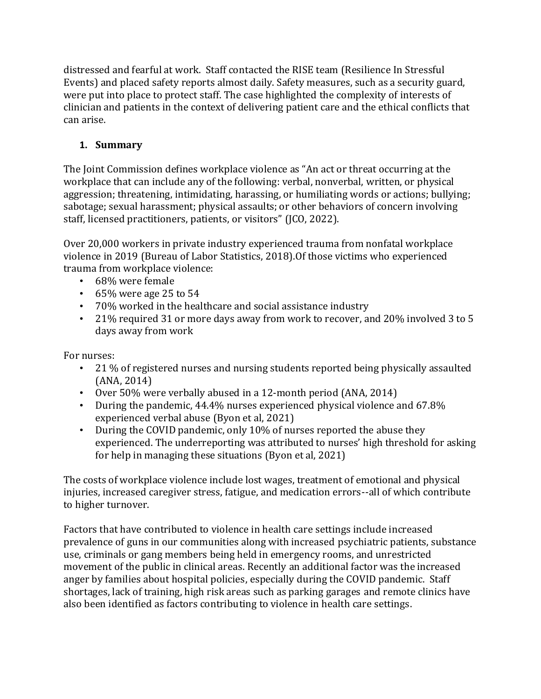distressed and fearful at work. Staff contacted the RISE team (Resilience In Stressful Events) and placed safety reports almost daily. Safety measures, such as a security guard, were put into place to protect staff. The case highlighted the complexity of interests of clinician and patients in the context of delivering patient care and the ethical conflicts that can arise.

# **1. Summary**

The Joint Commission defines workplace violence as "An act or threat occurring at the workplace that can include any of the following: verbal, nonverbal, written, or physical aggression; threatening, intimidating, harassing, or humiliating words or actions; bullying; sabotage; sexual harassment; physical assaults; or other behaviors of concern involving staff, licensed practitioners, patients, or visitors" (JCO, 2022).

Over 20,000 workers in private industry experienced trauma from nonfatal workplace violence in 2019 (Bureau of Labor Statistics, 2018).Of those victims who experienced trauma from workplace violence:

- 68% were female
- $\cdot$  65% were age 25 to 54
- 70% worked in the healthcare and social assistance industry
- 21% required 31 or more days away from work to recover, and 20% involved 3 to 5 days away from work

For nurses:

- 21 % of registered nurses and nursing students reported being physically assaulted (ANA, 2014)
- Over 50% were verbally abused in a 12-month period (ANA, 2014)
- During the pandemic, 44.4% nurses experienced physical violence and 67.8% experienced verbal abuse (Byon et al, 2021)
- During the COVID pandemic, only 10% of nurses reported the abuse they experienced. The underreporting was attributed to nurses' high threshold for asking for help in managing these situations (Byon et al, 2021)

The costs of workplace violence include lost wages, treatment of emotional and physical injuries, increased caregiver stress, fatigue, and medication errors--all of which contribute to higher turnover.

Factors that have contributed to violence in health care settings include increased prevalence of guns in our communities along with increased psychiatric patients, substance use, criminals or gang members being held in emergency rooms, and unrestricted movement of the public in clinical areas. Recently an additional factor was the increased anger by families about hospital policies, especially during the COVID pandemic. Staff shortages, lack of training, high risk areas such as parking garages and remote clinics have also been identified as factors contributing to violence in health care settings.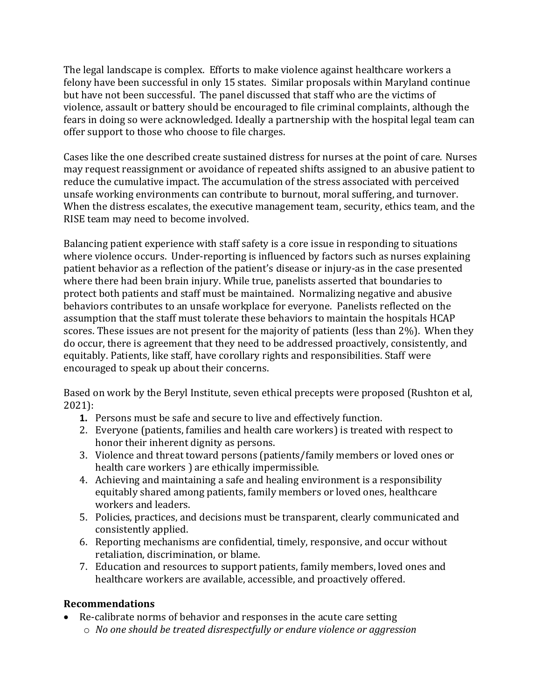The legal landscape is complex. Efforts to make violence against healthcare workers a felony have been successful in only 15 states. Similar proposals within Maryland continue but have not been successful. The panel discussed that staff who are the victims of violence, assault or battery should be encouraged to file criminal complaints, although the fears in doing so were acknowledged. Ideally a partnership with the hospital legal team can offer support to those who choose to file charges.

Cases like the one described create sustained distress for nurses at the point of care. Nurses may request reassignment or avoidance of repeated shifts assigned to an abusive patient to reduce the cumulative impact. The accumulation of the stress associated with perceived unsafe working environments can contribute to burnout, moral suffering, and turnover. When the distress escalates, the executive management team, security, ethics team, and the RISE team may need to become involved.

Balancing patient experience with staff safety is a core issue in responding to situations where violence occurs. Under-reporting is influenced by factors such as nurses explaining patient behavior as a reflection of the patient's disease or injury-as in the case presented where there had been brain injury. While true, panelists asserted that boundaries to protect both patients and staff must be maintained. Normalizing negative and abusive behaviors contributes to an unsafe workplace for everyone. Panelists reflected on the assumption that the staff must tolerate these behaviors to maintain the hospitals HCAP scores. These issues are not present for the majority of patients (less than 2%). When they do occur, there is agreement that they need to be addressed proactively, consistently, and equitably. Patients, like staff, have corollary rights and responsibilities. Staff were encouraged to speak up about their concerns.

Based on work by the Beryl Institute, seven ethical precepts were proposed (Rushton et al, 2021):

- **1.** Persons must be safe and secure to live and effectively function.
- 2. Everyone (patients, families and health care workers) is treated with respect to honor their inherent dignity as persons.
- 3. Violence and threat toward persons (patients/family members or loved ones or health care workers ) are ethically impermissible.
- 4. Achieving and maintaining a safe and healing environment is a responsibility equitably shared among patients, family members or loved ones, healthcare workers and leaders.
- 5. Policies, practices, and decisions must be transparent, clearly communicated and consistently applied.
- 6. Reporting mechanisms are confidential, timely, responsive, and occur without retaliation, discrimination, or blame.
- 7. Education and resources to support patients, family members, loved ones and healthcare workers are available, accessible, and proactively offered.

## **Recommendations**

- Re-calibrate norms of behavior and responses in the acute care setting
	- o *No one should be treated disrespectfully or endure violence or aggression*